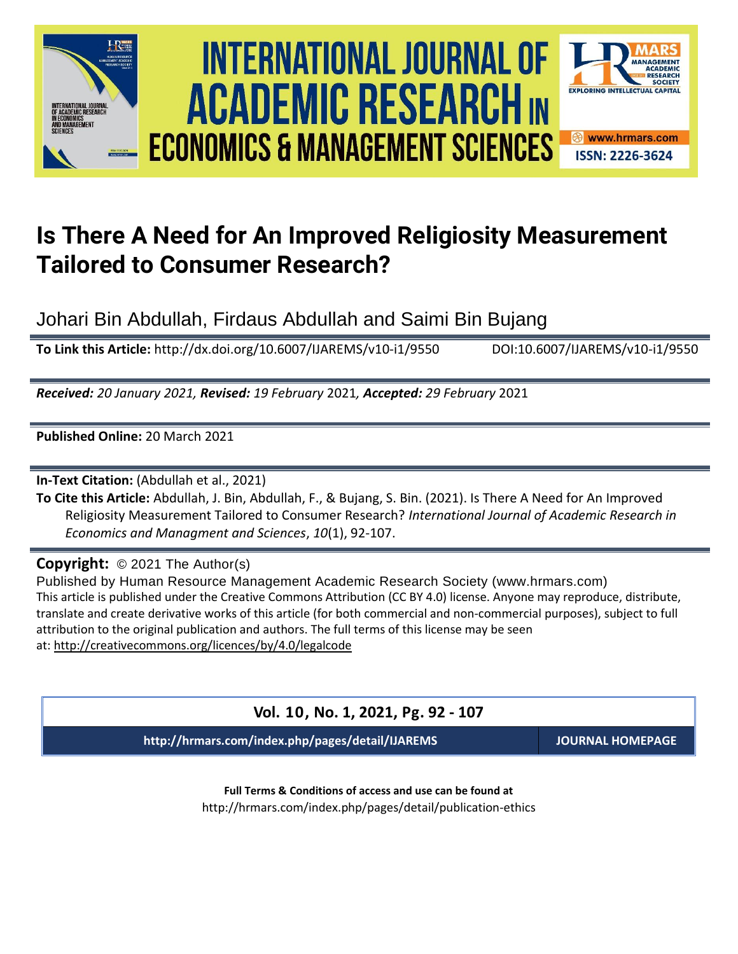





# **Is There A Need for An Improved Religiosity Measurement Tailored to Consumer Research?**

Johari Bin Abdullah, Firdaus Abdullah and Saimi Bin Bujang

**To Link this Article:** http://dx.doi.org/10.6007/IJAREMS/v10-i1/9550 DOI:10.6007/IJAREMS/v10-i1/9550

*Received: 20 January 2021, Revised: 19 February* 2021*, Accepted: 29 February* 2021

**Published Online:** 20 March 2021

**In-Text Citation:** (Abdullah et al., 2021)

**To Cite this Article:** Abdullah, J. Bin, Abdullah, F., & Bujang, S. Bin. (2021). Is There A Need for An Improved Religiosity Measurement Tailored to Consumer Research? *International Journal of Academic Research in Economics and Managment and Sciences*, *10*(1), 92-107.

## **Copyright:** © 2021 The Author(s)

Published by Human Resource Management Academic Research Society (www.hrmars.com) This article is published under the Creative Commons Attribution (CC BY 4.0) license. Anyone may reproduce, distribute, translate and create derivative works of this article (for both commercial and non-commercial purposes), subject to full attribution to the original publication and authors. The full terms of this license may be seen at: <http://creativecommons.org/licences/by/4.0/legalcode>

## **Vol. 10, No. 1, 2021, Pg. 92 - 107**

**http://hrmars.com/index.php/pages/detail/IJAREMS JOURNAL HOMEPAGE**

**Full Terms & Conditions of access and use can be found at** http://hrmars.com/index.php/pages/detail/publication-ethics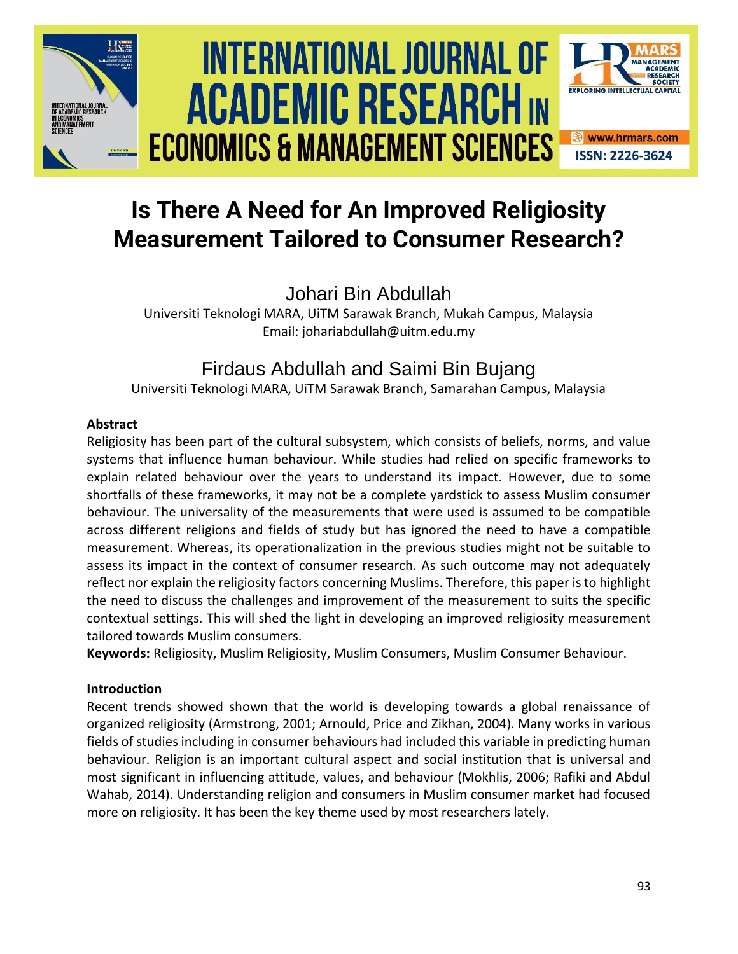





## Johari Bin Abdullah

Universiti Teknologi MARA, UiTM Sarawak Branch, Mukah Campus, Malaysia Email: johariabdullah@uitm.edu.my

## Firdaus Abdullah and Saimi Bin Bujang

Universiti Teknologi MARA, UiTM Sarawak Branch, Samarahan Campus, Malaysia

## **Abstract**

Religiosity has been part of the cultural subsystem, which consists of beliefs, norms, and value systems that influence human behaviour. While studies had relied on specific frameworks to explain related behaviour over the years to understand its impact. However, due to some shortfalls of these frameworks, it may not be a complete yardstick to assess Muslim consumer behaviour. The universality of the measurements that were used is assumed to be compatible across different religions and fields of study but has ignored the need to have a compatible measurement. Whereas, its operationalization in the previous studies might not be suitable to assess its impact in the context of consumer research. As such outcome may not adequately reflect nor explain the religiosity factors concerning Muslims. Therefore, this paper is to highlight the need to discuss the challenges and improvement of the measurement to suits the specific contextual settings. This will shed the light in developing an improved religiosity measurement tailored towards Muslim consumers.

**Keywords:** Religiosity, Muslim Religiosity, Muslim Consumers, Muslim Consumer Behaviour.

## **Introduction**

Recent trends showed shown that the world is developing towards a global renaissance of organized religiosity (Armstrong, 2001; Arnould, Price and Zikhan, 2004). Many works in various fields of studies including in consumer behaviours had included this variable in predicting human behaviour. Religion is an important cultural aspect and social institution that is universal and most significant in influencing attitude, values, and behaviour (Mokhlis, 2006; Rafiki and Abdul Wahab, 2014). Understanding religion and consumers in Muslim consumer market had focused more on religiosity. It has been the key theme used by most researchers lately.

**SOCIETY** 

**EXPLORING INTELLECTUAL CAPITAL** 

**<sup>❸</sup>** www.hrmars.com **ISSN: 2226-3624**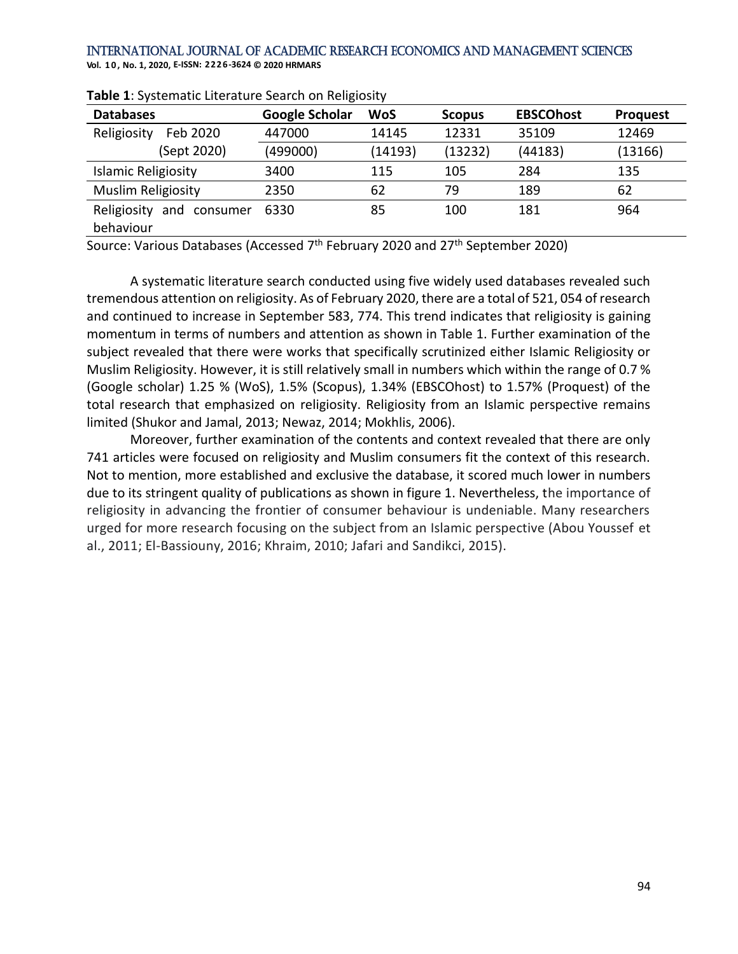**Vol. 1 0 , No. 1, 2020, E-ISSN: 2226-3624 © 2020 HRMARS**

| <b>Databases</b>               | <b>Google Scholar</b> | <b>WoS</b> | <b>Scopus</b> | <b>EBSCOhost</b> | <b>Proquest</b> |
|--------------------------------|-----------------------|------------|---------------|------------------|-----------------|
| Religiosity<br>Feb 2020        | 447000                | 14145      | 12331         | 35109            | 12469           |
| (Sept 2020)                    | (499000)              | (14193)    | (13232)       | (44183)          | (13166)         |
| Islamic Religiosity            | 3400                  | 115        | 105           | 284              | 135             |
| Muslim Religiosity             | 2350                  | 62         | 79            | 189              | 62              |
| and<br>Religiosity<br>consumer | 6330                  | 85         | 100           | 181              | 964             |
| behaviour                      |                       |            |               |                  |                 |

**Table 1**: Systematic Literature Search on Religiosity

Source: Various Databases (Accessed 7<sup>th</sup> February 2020 and 27<sup>th</sup> September 2020)

A systematic literature search conducted using five widely used databases revealed such tremendous attention on religiosity. As of February 2020, there are a total of 521, 054 of research and continued to increase in September 583, 774. This trend indicates that religiosity is gaining momentum in terms of numbers and attention as shown in Table 1. Further examination of the subject revealed that there were works that specifically scrutinized either Islamic Religiosity or Muslim Religiosity. However, it is still relatively small in numbers which within the range of 0.7 % (Google scholar) 1.25 % (WoS), 1.5% (Scopus), 1.34% (EBSCOhost) to 1.57% (Proquest) of the total research that emphasized on religiosity. Religiosity from an Islamic perspective remains limited (Shukor and Jamal, 2013; Newaz, 2014; Mokhlis, 2006).

Moreover, further examination of the contents and context revealed that there are only 741 articles were focused on religiosity and Muslim consumers fit the context of this research. Not to mention, more established and exclusive the database, it scored much lower in numbers due to its stringent quality of publications as shown in figure 1. Nevertheless, the importance of religiosity in advancing the frontier of consumer behaviour is undeniable. Many researchers urged for more research focusing on the subject from an Islamic perspective (Abou Youssef et al., 2011; El-Bassiouny, 2016; Khraim, 2010; Jafari and Sandikci, 2015).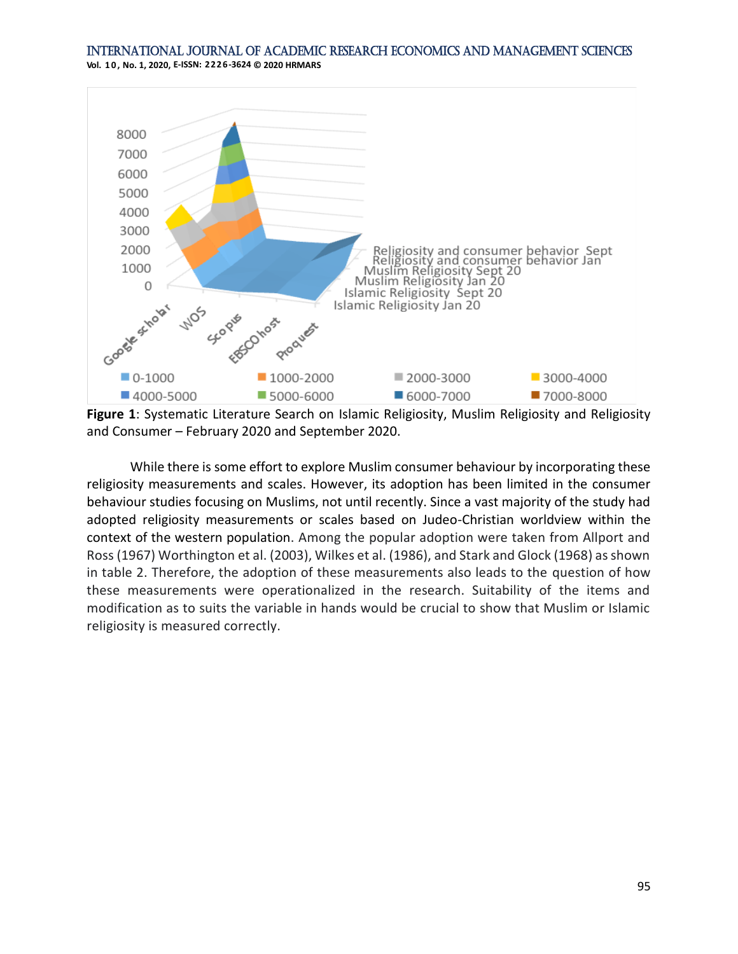

and Consumer – February 2020 and September 2020.

While there is some effort to explore Muslim consumer behaviour by incorporating these religiosity measurements and scales. However, its adoption has been limited in the consumer behaviour studies focusing on Muslims, not until recently. Since a vast majority of the study had adopted religiosity measurements or scales based on Judeo-Christian worldview within the context of the western population. Among the popular adoption were taken from Allport and Ross (1967) Worthington et al. (2003), Wilkes et al. (1986), and Stark and Glock (1968) as shown in table 2. Therefore, the adoption of these measurements also leads to the question of how these measurements were operationalized in the research. Suitability of the items and modification as to suits the variable in hands would be crucial to show that Muslim or Islamic religiosity is measured correctly.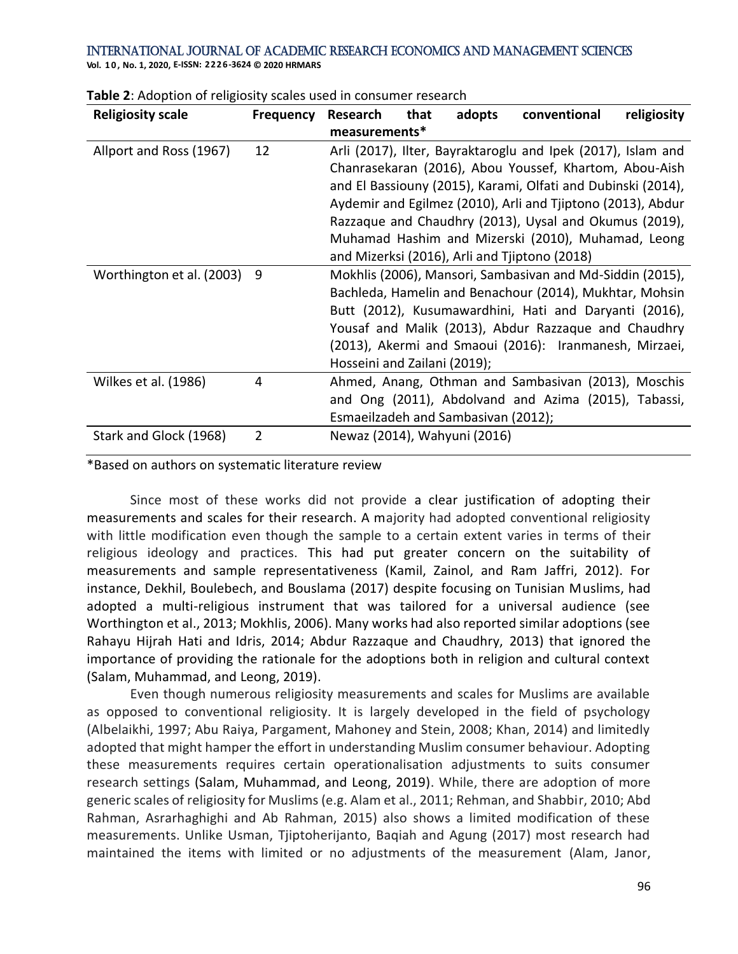**Vol. 1 0 , No. 1, 2020, E-ISSN: 2226-3624 © 2020 HRMARS**

| <b>Religiosity scale</b>  | <b>Frequency</b> | <b>Research</b>                     | that | adopts | conventional                                                 | religiosity |
|---------------------------|------------------|-------------------------------------|------|--------|--------------------------------------------------------------|-------------|
|                           |                  | measurements*                       |      |        |                                                              |             |
| Allport and Ross (1967)   | 12               |                                     |      |        | Arli (2017), Ilter, Bayraktaroglu and Ipek (2017), Islam and |             |
|                           |                  |                                     |      |        | Chanrasekaran (2016), Abou Youssef, Khartom, Abou-Aish       |             |
|                           |                  |                                     |      |        | and El Bassiouny (2015), Karami, Olfati and Dubinski (2014), |             |
|                           |                  |                                     |      |        | Aydemir and Egilmez (2010), Arli and Tjiptono (2013), Abdur  |             |
|                           |                  |                                     |      |        | Razzaque and Chaudhry (2013), Uysal and Okumus (2019),       |             |
|                           |                  |                                     |      |        | Muhamad Hashim and Mizerski (2010), Muhamad, Leong           |             |
|                           |                  |                                     |      |        | and Mizerksi (2016), Arli and Tjiptono (2018)                |             |
| Worthington et al. (2003) | 9                |                                     |      |        | Mokhlis (2006), Mansori, Sambasivan and Md-Siddin (2015),    |             |
|                           |                  |                                     |      |        | Bachleda, Hamelin and Benachour (2014), Mukhtar, Mohsin      |             |
|                           |                  |                                     |      |        | Butt (2012), Kusumawardhini, Hati and Daryanti (2016),       |             |
|                           |                  |                                     |      |        | Yousaf and Malik (2013), Abdur Razzaque and Chaudhry         |             |
|                           |                  |                                     |      |        | (2013), Akermi and Smaoui (2016): Iranmanesh, Mirzaei,       |             |
|                           |                  | Hosseini and Zailani (2019);        |      |        |                                                              |             |
| Wilkes et al. (1986)      | 4                |                                     |      |        | Ahmed, Anang, Othman and Sambasivan (2013), Moschis          |             |
|                           |                  |                                     |      |        | and Ong (2011), Abdolvand and Azima (2015), Tabassi,         |             |
|                           |                  | Esmaeilzadeh and Sambasivan (2012); |      |        |                                                              |             |
| Stark and Glock (1968)    | 2                | Newaz (2014), Wahyuni (2016)        |      |        |                                                              |             |

#### **Table 2**: Adoption of religiosity scales used in consumer research

#### \*Based on authors on systematic literature review

Since most of these works did not provide a clear justification of adopting their measurements and scales for their research. A majority had adopted conventional religiosity with little modification even though the sample to a certain extent varies in terms of their religious ideology and practices. This had put greater concern on the suitability of measurements and sample representativeness (Kamil, Zainol, and Ram Jaffri, 2012). For instance, Dekhil, Boulebech, and Bouslama (2017) despite focusing on Tunisian Muslims, had adopted a multi-religious instrument that was tailored for a universal audience (see Worthington et al., 2013; Mokhlis, 2006). Many works had also reported similar adoptions (see Rahayu Hijrah Hati and Idris, 2014; Abdur Razzaque and Chaudhry, 2013) that ignored the importance of providing the rationale for the adoptions both in religion and cultural context (Salam, Muhammad, and Leong, 2019).

Even though numerous religiosity measurements and scales for Muslims are available as opposed to conventional religiosity. It is largely developed in the field of psychology (Albelaikhi, 1997; Abu Raiya, Pargament, Mahoney and Stein, 2008; Khan, 2014) and limitedly adopted that might hamper the effort in understanding Muslim consumer behaviour. Adopting these measurements requires certain operationalisation adjustments to suits consumer research settings (Salam, Muhammad, and Leong, 2019). While, there are adoption of more generic scales of religiosity for Muslims (e.g. Alam et al., 2011; Rehman, and Shabbir, 2010; Abd Rahman, Asrarhaghighi and Ab Rahman, 2015) also shows a limited modification of these measurements. Unlike Usman, Tjiptoherijanto, Baqiah and Agung (2017) most research had maintained the items with limited or no adjustments of the measurement (Alam, Janor,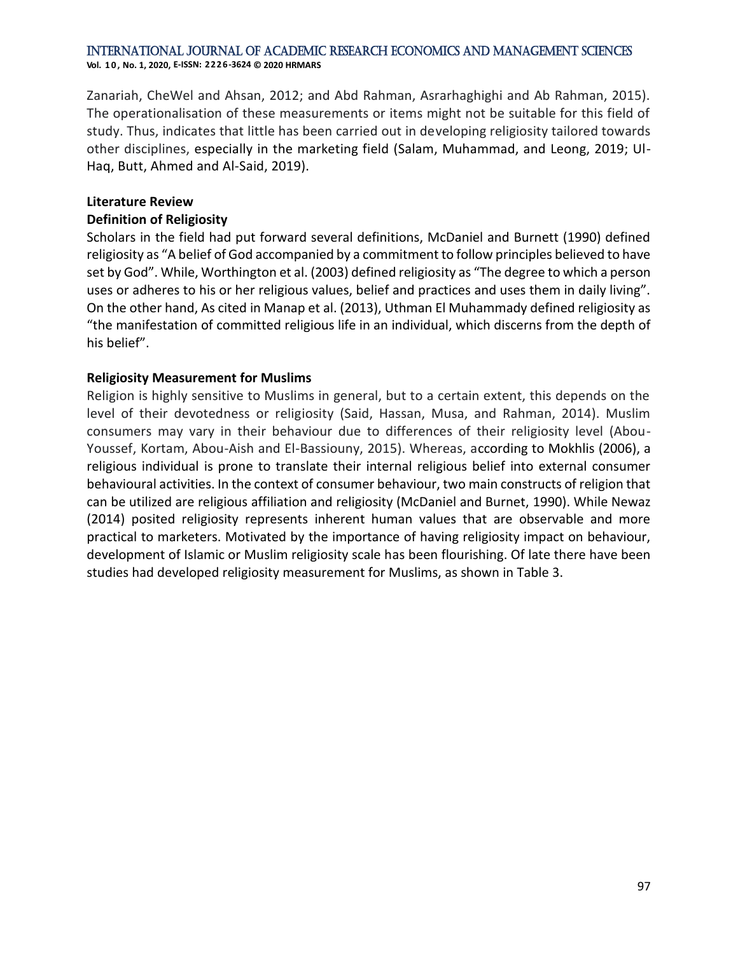**Vol. 1 0 , No. 1, 2020, E-ISSN: 2226-3624 © 2020 HRMARS**

Zanariah, CheWel and Ahsan, 2012; and Abd Rahman, Asrarhaghighi and Ab Rahman, 2015). The operationalisation of these measurements or items might not be suitable for this field of study. Thus, indicates that little has been carried out in developing religiosity tailored towards other disciplines, especially in the marketing field (Salam, Muhammad, and Leong, 2019; Ul-Haq, Butt, Ahmed and Al-Said, 2019).

## **Literature Review**

### **Definition of Religiosity**

Scholars in the field had put forward several definitions, McDaniel and Burnett (1990) defined religiosity as "A belief of God accompanied by a commitment to follow principles believed to have set by God". While, Worthington et al. (2003) defined religiosity as "The degree to which a person uses or adheres to his or her religious values, belief and practices and uses them in daily living". On the other hand, As cited in Manap et al. (2013), Uthman El Muhammady defined religiosity as "the manifestation of committed religious life in an individual, which discerns from the depth of his belief".

## **Religiosity Measurement for Muslims**

Religion is highly sensitive to Muslims in general, but to a certain extent, this depends on the level of their devotedness or religiosity (Said, Hassan, Musa, and Rahman, 2014). Muslim consumers may vary in their behaviour due to differences of their religiosity level (Abou-Youssef, Kortam, Abou-Aish and El-Bassiouny, 2015). Whereas, according to Mokhlis (2006), a religious individual is prone to translate their internal religious belief into external consumer behavioural activities. In the context of consumer behaviour, two main constructs of religion that can be utilized are religious affiliation and religiosity (McDaniel and Burnet, 1990). While Newaz (2014) posited religiosity represents inherent human values that are observable and more practical to marketers. Motivated by the importance of having religiosity impact on behaviour, development of Islamic or Muslim religiosity scale has been flourishing. Of late there have been studies had developed religiosity measurement for Muslims, as shown in Table 3.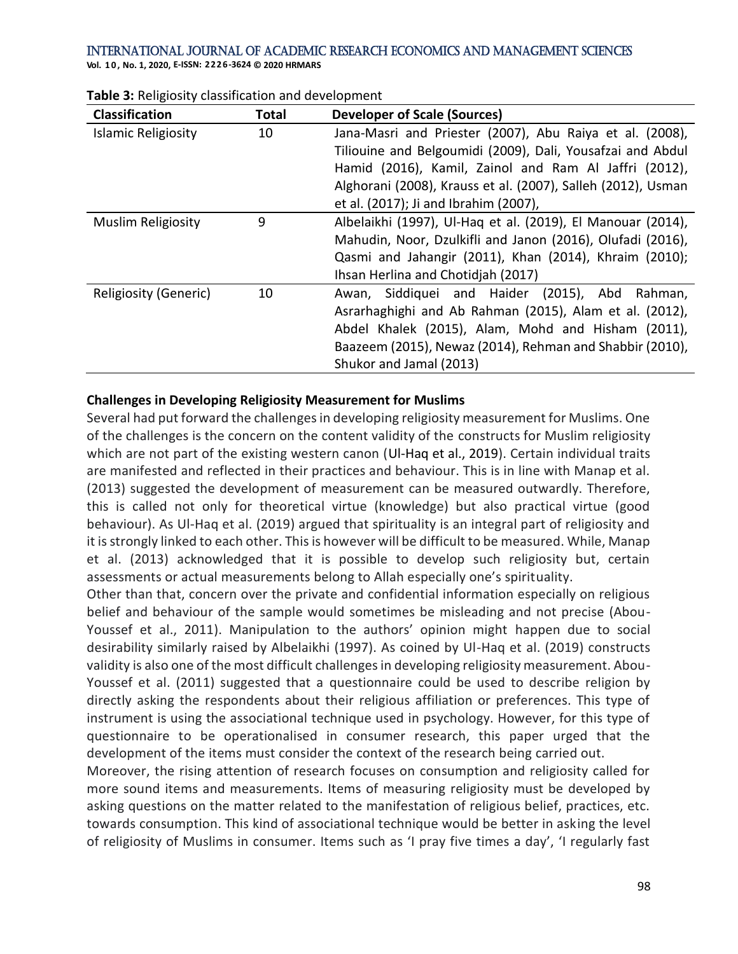**Vol. 1 0 , No. 1, 2020, E-ISSN: 2226-3624 © 2020 HRMARS**

| Classification             | <b>Total</b> | <b>Developer of Scale (Sources)</b>                          |
|----------------------------|--------------|--------------------------------------------------------------|
| <b>Islamic Religiosity</b> | 10           | Jana-Masri and Priester (2007), Abu Raiya et al. (2008),     |
|                            |              | Tiliouine and Belgoumidi (2009), Dali, Yousafzai and Abdul   |
|                            |              | Hamid (2016), Kamil, Zainol and Ram Al Jaffri (2012),        |
|                            |              | Alghorani (2008), Krauss et al. (2007), Salleh (2012), Usman |
|                            |              | et al. (2017); Ji and Ibrahim (2007),                        |
| <b>Muslim Religiosity</b>  | 9            | Albelaikhi (1997), Ul-Haq et al. (2019), El Manouar (2014),  |
|                            |              | Mahudin, Noor, Dzulkifli and Janon (2016), Olufadi (2016),   |
|                            |              | Qasmi and Jahangir (2011), Khan (2014), Khraim (2010);       |
|                            |              | Ihsan Herlina and Chotidiah (2017)                           |
| Religiosity (Generic)      | 10           | Awan, Siddiquei and Haider (2015), Abd<br>Rahman,            |
|                            |              | Asrarhaghighi and Ab Rahman (2015), Alam et al. (2012),      |
|                            |              | Abdel Khalek (2015), Alam, Mohd and Hisham (2011),           |
|                            |              | Baazeem (2015), Newaz (2014), Rehman and Shabbir (2010),     |
|                            |              | Shukor and Jamal (2013)                                      |

|  | Table 3: Religiosity classification and development |
|--|-----------------------------------------------------|
|--|-----------------------------------------------------|

## **Challenges in Developing Religiosity Measurement for Muslims**

Several had put forward the challenges in developing religiosity measurement for Muslims. One of the challenges is the concern on the content validity of the constructs for Muslim religiosity which are not part of the existing western canon (Ul-Haq et al., 2019). Certain individual traits are manifested and reflected in their practices and behaviour. This is in line with Manap et al. (2013) suggested the development of measurement can be measured outwardly. Therefore, this is called not only for theoretical virtue (knowledge) but also practical virtue (good behaviour). As Ul-Haq et al. (2019) argued that spirituality is an integral part of religiosity and it is strongly linked to each other. This is however will be difficult to be measured. While, Manap et al. (2013) acknowledged that it is possible to develop such religiosity but, certain assessments or actual measurements belong to Allah especially one's spirituality.

Other than that, concern over the private and confidential information especially on religious belief and behaviour of the sample would sometimes be misleading and not precise (Abou-Youssef et al., 2011). Manipulation to the authors' opinion might happen due to social desirability similarly raised by Albelaikhi (1997). As coined by Ul-Haq et al. (2019) constructs validity is also one of the most difficult challenges in developing religiosity measurement. Abou-Youssef et al. (2011) suggested that a questionnaire could be used to describe religion by directly asking the respondents about their religious affiliation or preferences. This type of instrument is using the associational technique used in psychology. However, for this type of questionnaire to be operationalised in consumer research, this paper urged that the development of the items must consider the context of the research being carried out.

Moreover, the rising attention of research focuses on consumption and religiosity called for more sound items and measurements. Items of measuring religiosity must be developed by asking questions on the matter related to the manifestation of religious belief, practices, etc. towards consumption. This kind of associational technique would be better in asking the level of religiosity of Muslims in consumer. Items such as 'I pray five times a day', 'I regularly fast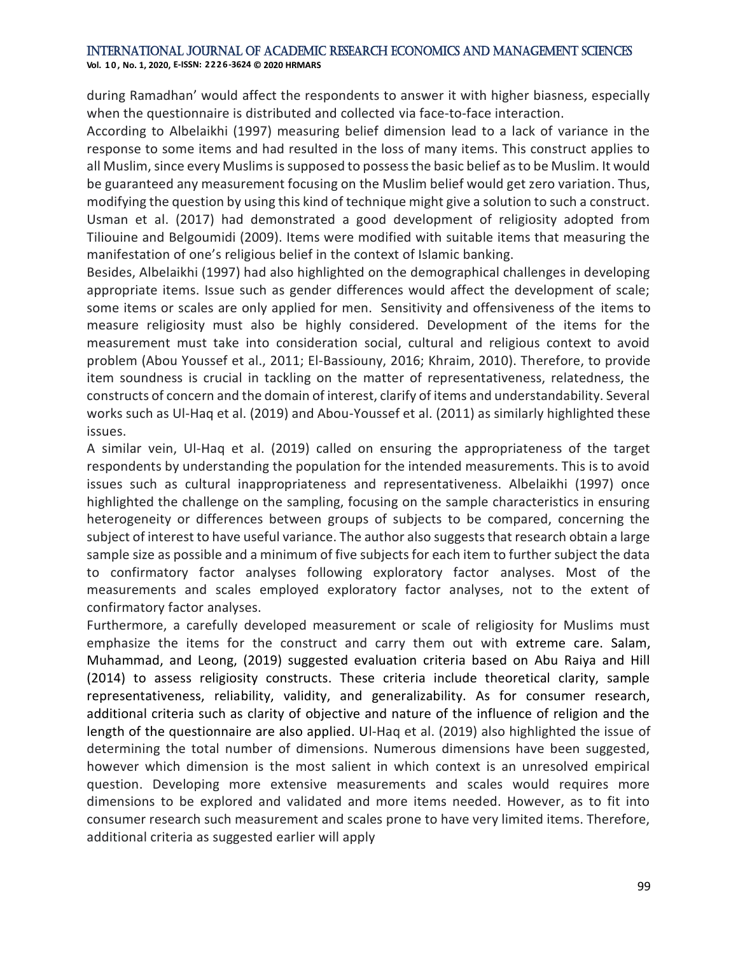**Vol. 1 0 , No. 1, 2020, E-ISSN: 2226-3624 © 2020 HRMARS**

during Ramadhan' would affect the respondents to answer it with higher biasness, especially when the questionnaire is distributed and collected via face-to-face interaction.

According to Albelaikhi (1997) measuring belief dimension lead to a lack of variance in the response to some items and had resulted in the loss of many items. This construct applies to all Muslim, since every Muslims is supposed to possess the basic belief as to be Muslim. It would be guaranteed any measurement focusing on the Muslim belief would get zero variation. Thus, modifying the question by using this kind of technique might give a solution to such a construct. Usman et al. (2017) had demonstrated a good development of religiosity adopted from Tiliouine and Belgoumidi (2009). Items were modified with suitable items that measuring the manifestation of one's religious belief in the context of Islamic banking.

Besides, Albelaikhi (1997) had also highlighted on the demographical challenges in developing appropriate items. Issue such as gender differences would affect the development of scale; some items or scales are only applied for men. Sensitivity and offensiveness of the items to measure religiosity must also be highly considered. Development of the items for the measurement must take into consideration social, cultural and religious context to avoid problem (Abou Youssef et al., 2011; El-Bassiouny, 2016; Khraim, 2010). Therefore, to provide item soundness is crucial in tackling on the matter of representativeness, relatedness, the constructs of concern and the domain of interest, clarify of items and understandability. Several works such as Ul-Haq et al. (2019) and Abou-Youssef et al. (2011) as similarly highlighted these issues.

A similar vein, Ul-Haq et al. (2019) called on ensuring the appropriateness of the target respondents by understanding the population for the intended measurements. This is to avoid issues such as cultural inappropriateness and representativeness. Albelaikhi (1997) once highlighted the challenge on the sampling, focusing on the sample characteristics in ensuring heterogeneity or differences between groups of subjects to be compared, concerning the subject of interest to have useful variance. The author also suggests that research obtain a large sample size as possible and a minimum of five subjects for each item to further subject the data to confirmatory factor analyses following exploratory factor analyses. Most of the measurements and scales employed exploratory factor analyses, not to the extent of confirmatory factor analyses.

Furthermore, a carefully developed measurement or scale of religiosity for Muslims must emphasize the items for the construct and carry them out with extreme care. Salam, Muhammad, and Leong, (2019) suggested evaluation criteria based on Abu Raiya and Hill (2014) to assess religiosity constructs. These criteria include theoretical clarity, sample representativeness, reliability, validity, and generalizability. As for consumer research, additional criteria such as clarity of objective and nature of the influence of religion and the length of the questionnaire are also applied. Ul-Haq et al. (2019) also highlighted the issue of determining the total number of dimensions. Numerous dimensions have been suggested, however which dimension is the most salient in which context is an unresolved empirical question. Developing more extensive measurements and scales would requires more dimensions to be explored and validated and more items needed. However, as to fit into consumer research such measurement and scales prone to have very limited items. Therefore, additional criteria as suggested earlier will apply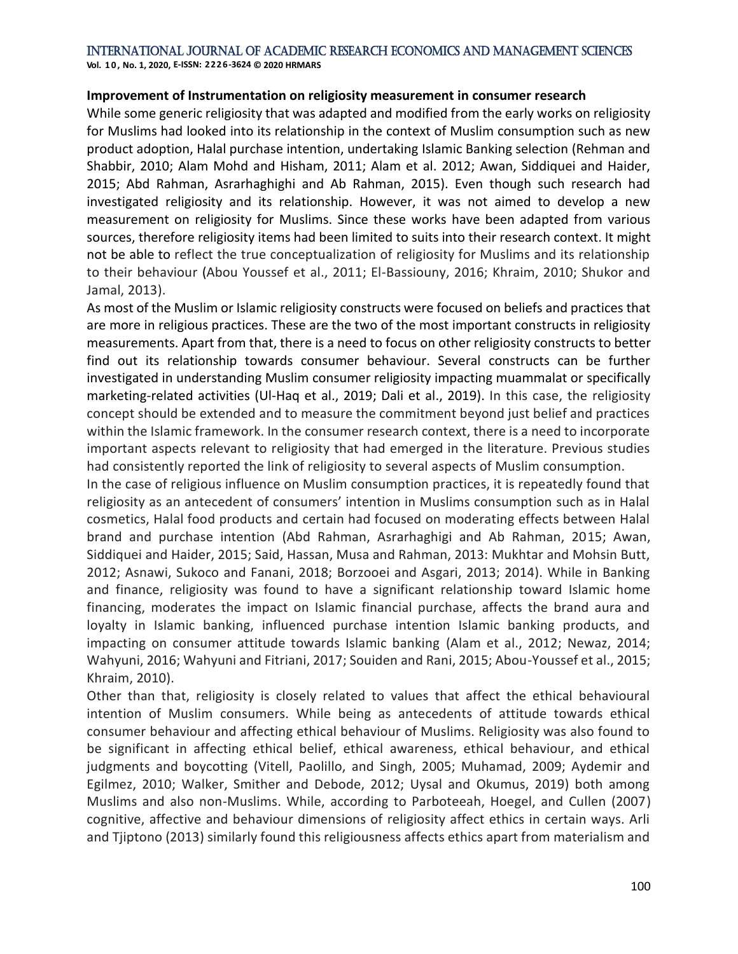**Vol. 1 0 , No. 1, 2020, E-ISSN: 2226-3624 © 2020 HRMARS**

### **Improvement of Instrumentation on religiosity measurement in consumer research**

While some generic religiosity that was adapted and modified from the early works on religiosity for Muslims had looked into its relationship in the context of Muslim consumption such as new product adoption, Halal purchase intention, undertaking Islamic Banking selection (Rehman and Shabbir, 2010; Alam Mohd and Hisham, 2011; Alam et al. 2012; Awan, Siddiquei and Haider, 2015; Abd Rahman, Asrarhaghighi and Ab Rahman, 2015). Even though such research had investigated religiosity and its relationship. However, it was not aimed to develop a new measurement on religiosity for Muslims. Since these works have been adapted from various sources, therefore religiosity items had been limited to suits into their research context. It might not be able to reflect the true conceptualization of religiosity for Muslims and its relationship to their behaviour (Abou Youssef et al., 2011; El-Bassiouny, 2016; Khraim, 2010; Shukor and Jamal, 2013).

As most of the Muslim or Islamic religiosity constructs were focused on beliefs and practices that are more in religious practices. These are the two of the most important constructs in religiosity measurements. Apart from that, there is a need to focus on other religiosity constructs to better find out its relationship towards consumer behaviour. Several constructs can be further investigated in understanding Muslim consumer religiosity impacting muammalat or specifically marketing-related activities (Ul-Haq et al., 2019; Dali et al., 2019). In this case, the religiosity concept should be extended and to measure the commitment beyond just belief and practices within the Islamic framework. In the consumer research context, there is a need to incorporate important aspects relevant to religiosity that had emerged in the literature. Previous studies had consistently reported the link of religiosity to several aspects of Muslim consumption.

In the case of religious influence on Muslim consumption practices, it is repeatedly found that religiosity as an antecedent of consumers' intention in Muslims consumption such as in Halal cosmetics, Halal food products and certain had focused on moderating effects between Halal brand and purchase intention (Abd Rahman, Asrarhaghigi and Ab Rahman, 2015; Awan, Siddiquei and Haider, 2015; Said, Hassan, Musa and Rahman, 2013: Mukhtar and Mohsin Butt, 2012; Asnawi, Sukoco and Fanani, 2018; Borzooei and Asgari, 2013; 2014). While in Banking and finance, religiosity was found to have a significant relationship toward Islamic home financing, moderates the impact on Islamic financial purchase, affects the brand aura and loyalty in Islamic banking, influenced purchase intention Islamic banking products, and impacting on consumer attitude towards Islamic banking (Alam et al., 2012; Newaz, 2014; Wahyuni, 2016; Wahyuni and Fitriani, 2017; Souiden and Rani, 2015; Abou-Youssef et al., 2015; Khraim, 2010).

Other than that, religiosity is closely related to values that affect the ethical behavioural intention of Muslim consumers. While being as antecedents of attitude towards ethical consumer behaviour and affecting ethical behaviour of Muslims. Religiosity was also found to be significant in affecting ethical belief, ethical awareness, ethical behaviour, and ethical judgments and boycotting (Vitell, Paolillo, and Singh, 2005; Muhamad, 2009; Aydemir and Egilmez, 2010; Walker, Smither and Debode, 2012; Uysal and Okumus, 2019) both among Muslims and also non-Muslims. While, according to Parboteeah, Hoegel, and Cullen (2007) cognitive, affective and behaviour dimensions of religiosity affect ethics in certain ways. Arli and Tjiptono (2013) similarly found this religiousness affects ethics apart from materialism and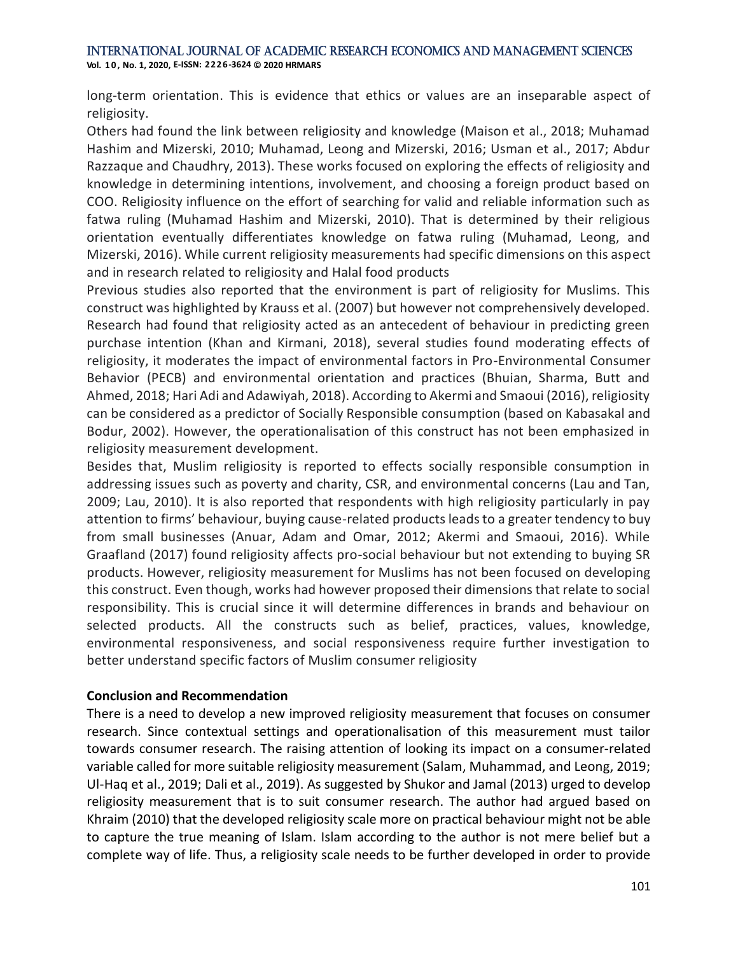long-term orientation. This is evidence that ethics or values are an inseparable aspect of religiosity.

Others had found the link between religiosity and knowledge (Maison et al., 2018; Muhamad Hashim and Mizerski, 2010; Muhamad, Leong and Mizerski, 2016; Usman et al., 2017; Abdur Razzaque and Chaudhry, 2013). These works focused on exploring the effects of religiosity and knowledge in determining intentions, involvement, and choosing a foreign product based on COO. Religiosity influence on the effort of searching for valid and reliable information such as fatwa ruling (Muhamad Hashim and Mizerski, 2010). That is determined by their religious orientation eventually differentiates knowledge on fatwa ruling (Muhamad, Leong, and Mizerski, 2016). While current religiosity measurements had specific dimensions on this aspect and in research related to religiosity and Halal food products

Previous studies also reported that the environment is part of religiosity for Muslims. This construct was highlighted by Krauss et al. (2007) but however not comprehensively developed. Research had found that religiosity acted as an antecedent of behaviour in predicting green purchase intention (Khan and Kirmani, 2018), several studies found moderating effects of religiosity, it moderates the impact of environmental factors in Pro-Environmental Consumer Behavior (PECB) and environmental orientation and practices (Bhuian, Sharma, Butt and Ahmed, 2018; Hari Adi and Adawiyah, 2018). According to Akermi and Smaoui (2016), religiosity can be considered as a predictor of Socially Responsible consumption (based on Kabasakal and Bodur, 2002). However, the operationalisation of this construct has not been emphasized in religiosity measurement development.

Besides that, Muslim religiosity is reported to effects socially responsible consumption in addressing issues such as poverty and charity, CSR, and environmental concerns (Lau and Tan, 2009; Lau, 2010). It is also reported that respondents with high religiosity particularly in pay attention to firms' behaviour, buying cause-related products leads to a greater tendency to buy from small businesses (Anuar, Adam and Omar, 2012; Akermi and Smaoui, 2016). While Graafland (2017) found religiosity affects pro-social behaviour but not extending to buying SR products. However, religiosity measurement for Muslims has not been focused on developing this construct. Even though, works had however proposed their dimensions that relate to social responsibility. This is crucial since it will determine differences in brands and behaviour on selected products. All the constructs such as belief, practices, values, knowledge, environmental responsiveness, and social responsiveness require further investigation to better understand specific factors of Muslim consumer religiosity

## **Conclusion and Recommendation**

There is a need to develop a new improved religiosity measurement that focuses on consumer research. Since contextual settings and operationalisation of this measurement must tailor towards consumer research. The raising attention of looking its impact on a consumer-related variable called for more suitable religiosity measurement (Salam, Muhammad, and Leong, 2019; Ul-Haq et al., 2019; Dali et al., 2019). As suggested by Shukor and Jamal (2013) urged to develop religiosity measurement that is to suit consumer research. The author had argued based on Khraim (2010) that the developed religiosity scale more on practical behaviour might not be able to capture the true meaning of Islam. Islam according to the author is not mere belief but a complete way of life. Thus, a religiosity scale needs to be further developed in order to provide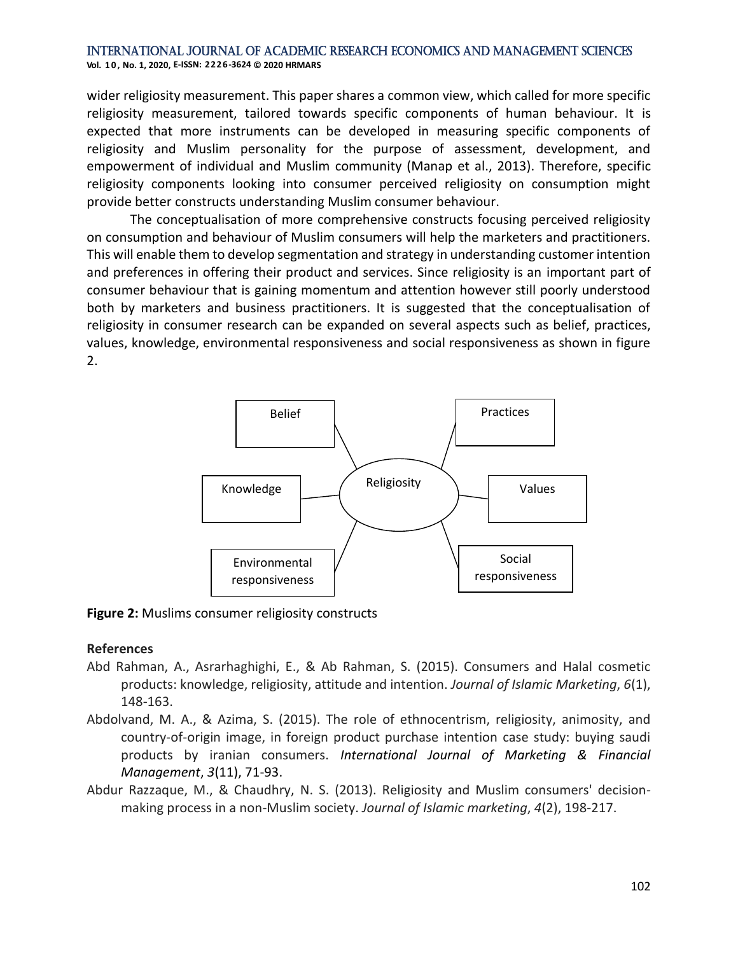wider religiosity measurement. This paper shares a common view, which called for more specific religiosity measurement, tailored towards specific components of human behaviour. It is expected that more instruments can be developed in measuring specific components of religiosity and Muslim personality for the purpose of assessment, development, and empowerment of individual and Muslim community (Manap et al., 2013). Therefore, specific religiosity components looking into consumer perceived religiosity on consumption might provide better constructs understanding Muslim consumer behaviour.

The conceptualisation of more comprehensive constructs focusing perceived religiosity on consumption and behaviour of Muslim consumers will help the marketers and practitioners. This will enable them to develop segmentation and strategy in understanding customer intention and preferences in offering their product and services. Since religiosity is an important part of consumer behaviour that is gaining momentum and attention however still poorly understood both by marketers and business practitioners. It is suggested that the conceptualisation of religiosity in consumer research can be expanded on several aspects such as belief, practices, values, knowledge, environmental responsiveness and social responsiveness as shown in figure 2.



**Figure 2:** Muslims consumer religiosity constructs

## **References**

- Abd Rahman, A., Asrarhaghighi, E., & Ab Rahman, S. (2015). Consumers and Halal cosmetic products: knowledge, religiosity, attitude and intention. *Journal of Islamic Marketing*, *6*(1), 148-163.
- Abdolvand, M. A., & Azima, S. (2015). The role of ethnocentrism, religiosity, animosity, and country-of-origin image, in foreign product purchase intention case study: buying saudi products by iranian consumers. *International Journal of Marketing & Financial Management*, *3*(11), 71-93.
- Abdur Razzaque, M., & Chaudhry, N. S. (2013). Religiosity and Muslim consumers' decisionmaking process in a non-Muslim society. *Journal of Islamic marketing*, *4*(2), 198-217.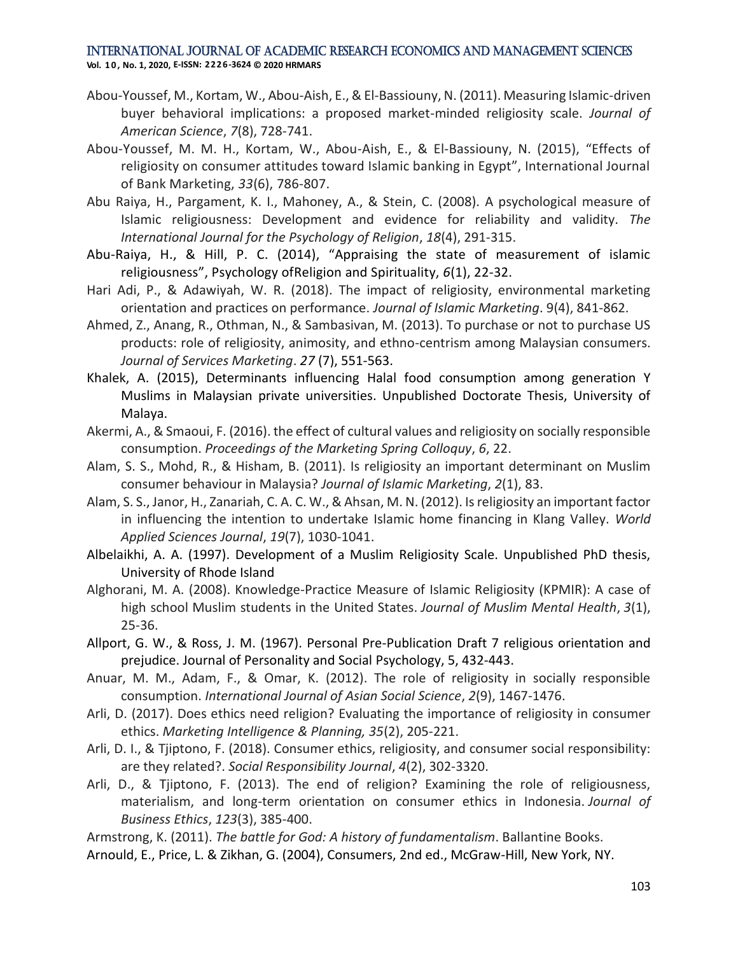- Abou-Youssef, M., Kortam, W., Abou-Aish, E., & El-Bassiouny, N. (2011). Measuring Islamic-driven buyer behavioral implications: a proposed market-minded religiosity scale. *Journal of American Science*, *7*(8), 728-741.
- Abou-Youssef, M. M. H., Kortam, W., Abou-Aish, E., & El-Bassiouny, N. (2015), "Effects of religiosity on consumer attitudes toward Islamic banking in Egypt", International Journal of Bank Marketing, *33*(6), 786-807.
- Abu Raiya, H., Pargament, K. I., Mahoney, A., & Stein, C. (2008). A psychological measure of Islamic religiousness: Development and evidence for reliability and validity. *The International Journal for the Psychology of Religion*, *18*(4), 291-315.
- Abu-Raiya, H., & Hill, P. C. (2014), "Appraising the state of measurement of islamic religiousness", Psychology ofReligion and Spirituality, *6*(1), 22-32.
- Hari Adi, P., & Adawiyah, W. R. (2018). The impact of religiosity, environmental marketing orientation and practices on performance. *Journal of Islamic Marketing*. 9(4), 841-862.
- Ahmed, Z., Anang, R., Othman, N., & Sambasivan, M. (2013). To purchase or not to purchase US products: role of religiosity, animosity, and ethno-centrism among Malaysian consumers. *Journal of Services Marketing*. *27* (7), 551-563.
- Khalek, A. (2015), Determinants influencing Halal food consumption among generation Y Muslims in Malaysian private universities. Unpublished Doctorate Thesis, University of Malaya.
- Akermi, A., & Smaoui, F. (2016). the effect of cultural values and religiosity on socially responsible consumption. *Proceedings of the Marketing Spring Colloquy*, *6*, 22.
- Alam, S. S., Mohd, R., & Hisham, B. (2011). Is religiosity an important determinant on Muslim consumer behaviour in Malaysia? *Journal of Islamic Marketing*, *2*(1), 83.
- Alam, S. S., Janor, H., Zanariah, C. A. C. W., & Ahsan, M. N. (2012). Is religiosity an important factor in influencing the intention to undertake Islamic home financing in Klang Valley. *World Applied Sciences Journal*, *19*(7), 1030-1041.
- Albelaikhi, A. A. (1997). Development of a Muslim Religiosity Scale. Unpublished PhD thesis, University of Rhode Island
- Alghorani, M. A. (2008). Knowledge-Practice Measure of Islamic Religiosity (KPMIR): A case of high school Muslim students in the United States. *Journal of Muslim Mental Health*, *3*(1), 25-36.
- Allport, G. W., & Ross, J. M. (1967). Personal Pre-Publication Draft 7 religious orientation and prejudice. Journal of Personality and Social Psychology, 5, 432-443.
- Anuar, M. M., Adam, F., & Omar, K. (2012). The role of religiosity in socially responsible consumption. *International Journal of Asian Social Science*, *2*(9), 1467-1476.
- Arli, D. (2017). Does ethics need religion? Evaluating the importance of religiosity in consumer ethics. *Marketing Intelligence & Planning, 35*(2), 205-221.
- Arli, D. I., & Tjiptono, F. (2018). Consumer ethics, religiosity, and consumer social responsibility: are they related?. *Social Responsibility Journal*, *4*(2), 302-3320.
- Arli, D., & Tjiptono, F. (2013). The end of religion? Examining the role of religiousness, materialism, and long-term orientation on consumer ethics in Indonesia. *Journal of Business Ethics*, *123*(3), 385-400.

Armstrong, K. (2011). *The battle for God: A history of fundamentalism*. Ballantine Books.

Arnould, E., Price, L. & Zikhan, G. (2004), Consumers, 2nd ed., McGraw-Hill, New York, NY.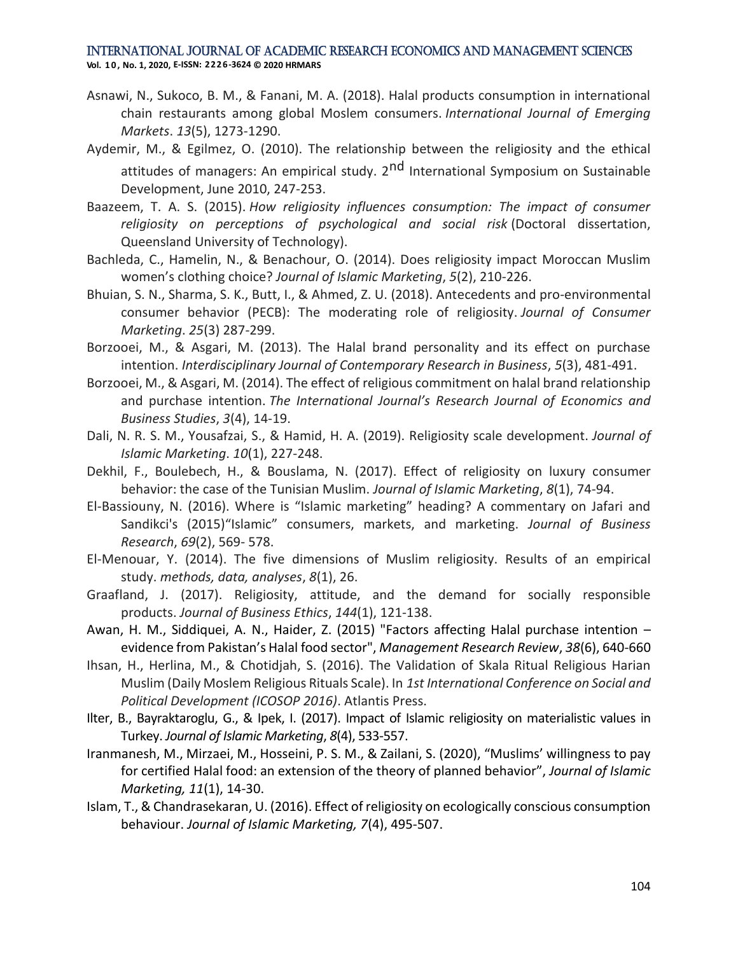- Asnawi, N., Sukoco, B. M., & Fanani, M. A. (2018). Halal products consumption in international chain restaurants among global Moslem consumers. *International Journal of Emerging Markets*. *13*(5), 1273-1290.
- Aydemir, M., & Egilmez, O. (2010). The relationship between the religiosity and the ethical attitudes of managers: An empirical study. 2<sup>nd</sup> International Symposium on Sustainable Development, June 2010, 247-253.
- Baazeem, T. A. S. (2015). *How religiosity influences consumption: The impact of consumer religiosity on perceptions of psychological and social risk* (Doctoral dissertation, Queensland University of Technology).
- Bachleda, C., Hamelin, N., & Benachour, O. (2014). Does religiosity impact Moroccan Muslim women's clothing choice? *Journal of Islamic Marketing*, *5*(2), 210-226.
- Bhuian, S. N., Sharma, S. K., Butt, I., & Ahmed, Z. U. (2018). Antecedents and pro-environmental consumer behavior (PECB): The moderating role of religiosity. *Journal of Consumer Marketing*. *25*(3) 287-299.
- Borzooei, M., & Asgari, M. (2013). The Halal brand personality and its effect on purchase intention. *Interdisciplinary Journal of Contemporary Research in Business*, *5*(3), 481-491.
- Borzooei, M., & Asgari, M. (2014). The effect of religious commitment on halal brand relationship and purchase intention. *The International Journal's Research Journal of Economics and Business Studies*, *3*(4), 14-19.
- Dali, N. R. S. M., Yousafzai, S., & Hamid, H. A. (2019). Religiosity scale development. *Journal of Islamic Marketing*. *10*(1), 227-248.
- Dekhil, F., Boulebech, H., & Bouslama, N. (2017). Effect of religiosity on luxury consumer behavior: the case of the Tunisian Muslim. *Journal of Islamic Marketing*, *8*(1), 74-94.
- El-Bassiouny, N. (2016). Where is "Islamic marketing" heading? A commentary on Jafari and Sandikci's (2015)"Islamic" consumers, markets, and marketing. *Journal of Business Research*, *69*(2), 569- 578.
- El-Menouar, Y. (2014). The five dimensions of Muslim religiosity. Results of an empirical study. *methods, data, analyses*, *8*(1), 26.
- Graafland, J. (2017). Religiosity, attitude, and the demand for socially responsible products. *Journal of Business Ethics*, *144*(1), 121-138.
- Awan, H. M., Siddiquei, A. N., Haider, Z. (2015) "Factors affecting Halal purchase intention evidence from Pakistan's Halal food sector", *Management Research Review*, *38*(6), 640-660
- Ihsan, H., Herlina, M., & Chotidjah, S. (2016). The Validation of Skala Ritual Religious Harian Muslim (Daily Moslem Religious Rituals Scale). In *1st International Conference on Social and Political Development (ICOSOP 2016)*. Atlantis Press.
- Ilter, B., Bayraktaroglu, G., & Ipek, I. (2017). Impact of Islamic religiosity on materialistic values in Turkey. *Journal of Islamic Marketing*, *8*(4), 533-557.
- Iranmanesh, M., Mirzaei, M., Hosseini, P. S. M., & Zailani, S. (2020), "Muslims' willingness to pay for certified Halal food: an extension of the theory of planned behavior", *Journal of Islamic Marketing, 11*(1), 14-30.
- Islam, T., & Chandrasekaran, U. (2016). Effect of religiosity on ecologically conscious consumption behaviour. *Journal of Islamic Marketing, 7*(4), 495-507.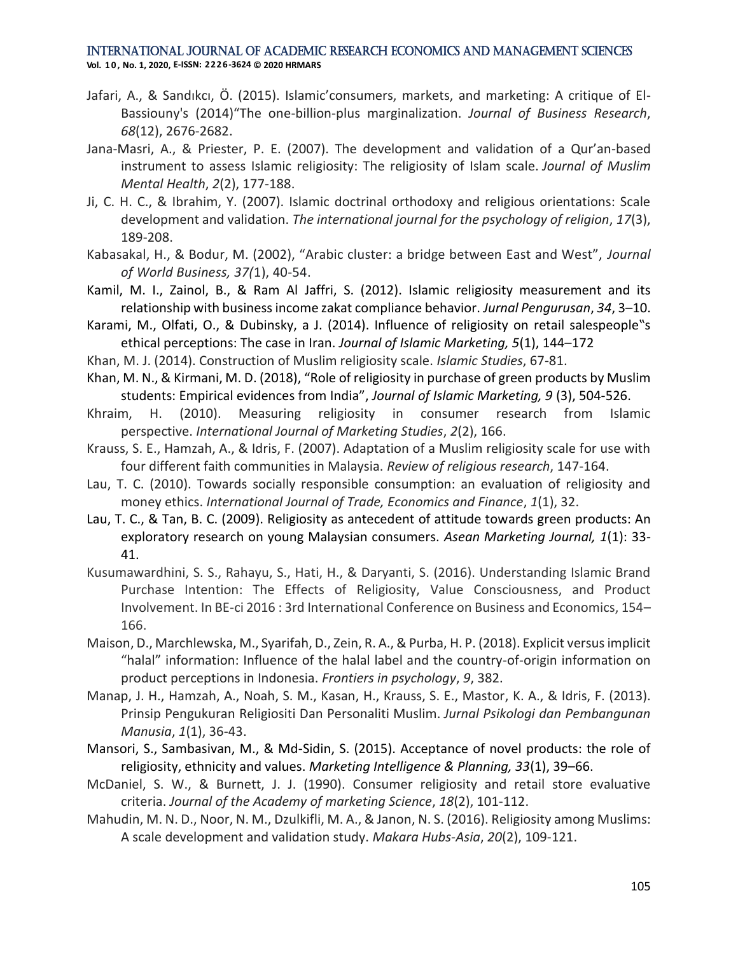- Jafari, A., & Sandıkcı, Ö. (2015). Islamic'consumers, markets, and marketing: A critique of El-Bassiouny's (2014)"The one-billion-plus marginalization. *Journal of Business Research*, *68*(12), 2676-2682.
- Jana-Masri, A., & Priester, P. E. (2007). The development and validation of a Qur'an-based instrument to assess Islamic religiosity: The religiosity of Islam scale. *Journal of Muslim Mental Health*, *2*(2), 177-188.
- Ji, C. H. C., & Ibrahim, Y. (2007). Islamic doctrinal orthodoxy and religious orientations: Scale development and validation. *The international journal for the psychology of religion*, *17*(3), 189-208.
- Kabasakal, H., & Bodur, M. (2002), "Arabic cluster: a bridge between East and West", *Journal of World Business, 37(*1), 40-54.
- Kamil, M. I., Zainol, B., & Ram Al Jaffri, S. (2012). Islamic religiosity measurement and its relationship with business income zakat compliance behavior. *Jurnal Pengurusan*, *34*, 3–10.
- Karami, M., Olfati, O., & Dubinsky, a J. (2014). Influence of religiosity on retail salespeople"s ethical perceptions: The case in Iran. *Journal of Islamic Marketing, 5*(1), 144–172
- Khan, M. J. (2014). Construction of Muslim religiosity scale. *Islamic Studies*, 67-81.
- Khan, M. N., & Kirmani, M. D. (2018), "Role of religiosity in purchase of green products by Muslim students: Empirical evidences from India", *Journal of Islamic Marketing, 9* (3), 504-526.
- Khraim, H. (2010). Measuring religiosity in consumer research from Islamic perspective. *International Journal of Marketing Studies*, *2*(2), 166.
- Krauss, S. E., Hamzah, A., & Idris, F. (2007). Adaptation of a Muslim religiosity scale for use with four different faith communities in Malaysia. *Review of religious research*, 147-164.
- Lau, T. C. (2010). Towards socially responsible consumption: an evaluation of religiosity and money ethics. *International Journal of Trade, Economics and Finance*, *1*(1), 32.
- Lau, T. C., & Tan, B. C. (2009). Religiosity as antecedent of attitude towards green products: An exploratory research on young Malaysian consumers. *Asean Marketing Journal, 1*(1): 33- 41.
- Kusumawardhini, S. S., Rahayu, S., Hati, H., & Daryanti, S. (2016). Understanding Islamic Brand Purchase Intention: The Effects of Religiosity, Value Consciousness, and Product Involvement. In BE-ci 2016 : 3rd International Conference on Business and Economics, 154– 166.
- Maison, D., Marchlewska, M., Syarifah, D., Zein, R. A., & Purba, H. P. (2018). Explicit versus implicit "halal" information: Influence of the halal label and the country-of-origin information on product perceptions in Indonesia. *Frontiers in psychology*, *9*, 382.
- Manap, J. H., Hamzah, A., Noah, S. M., Kasan, H., Krauss, S. E., Mastor, K. A., & Idris, F. (2013). Prinsip Pengukuran Religiositi Dan Personaliti Muslim. *Jurnal Psikologi dan Pembangunan Manusia*, *1*(1), 36-43.
- Mansori, S., Sambasivan, M., & Md-Sidin, S. (2015). Acceptance of novel products: the role of religiosity, ethnicity and values. *Marketing Intelligence & Planning, 33*(1), 39–66.
- McDaniel, S. W., & Burnett, J. J. (1990). Consumer religiosity and retail store evaluative criteria. *Journal of the Academy of marketing Science*, *18*(2), 101-112.
- Mahudin, M. N. D., Noor, N. M., Dzulkifli, M. A., & Janon, N. S. (2016). Religiosity among Muslims: A scale development and validation study. *Makara Hubs-Asia*, *20*(2), 109-121.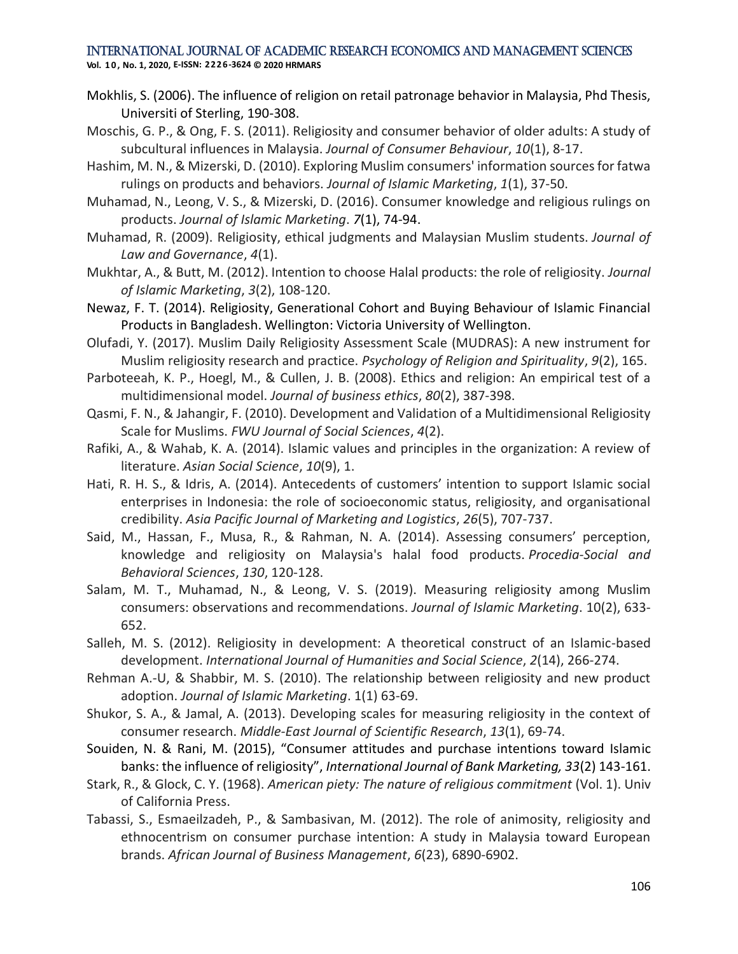**Vol. 1 0 , No. 1, 2020, E-ISSN: 2226-3624 © 2020 HRMARS**

- Mokhlis, S. (2006). The influence of religion on retail patronage behavior in Malaysia, Phd Thesis, Universiti of Sterling, 190-308.
- Moschis, G. P., & Ong, F. S. (2011). Religiosity and consumer behavior of older adults: A study of subcultural influences in Malaysia. *Journal of Consumer Behaviour*, *10*(1), 8-17.
- Hashim, M. N., & Mizerski, D. (2010). Exploring Muslim consumers' information sources for fatwa rulings on products and behaviors. *Journal of Islamic Marketing*, *1*(1), 37-50.
- Muhamad, N., Leong, V. S., & Mizerski, D. (2016). Consumer knowledge and religious rulings on products. *Journal of Islamic Marketing*. *7*(1), 74-94.
- Muhamad, R. (2009). Religiosity, ethical judgments and Malaysian Muslim students. *Journal of Law and Governance*, *4*(1).
- Mukhtar, A., & Butt, M. (2012). Intention to choose Halal products: the role of religiosity. *Journal of Islamic Marketing*, *3*(2), 108-120.
- Newaz, F. T. (2014). Religiosity, Generational Cohort and Buying Behaviour of Islamic Financial Products in Bangladesh. Wellington: Victoria University of Wellington.
- Olufadi, Y. (2017). Muslim Daily Religiosity Assessment Scale (MUDRAS): A new instrument for Muslim religiosity research and practice. *Psychology of Religion and Spirituality*, *9*(2), 165.
- Parboteeah, K. P., Hoegl, M., & Cullen, J. B. (2008). Ethics and religion: An empirical test of a multidimensional model. *Journal of business ethics*, *80*(2), 387-398.
- Qasmi, F. N., & Jahangir, F. (2010). Development and Validation of a Multidimensional Religiosity Scale for Muslims. *FWU Journal of Social Sciences*, *4*(2).
- Rafiki, A., & Wahab, K. A. (2014). Islamic values and principles in the organization: A review of literature. *Asian Social Science*, *10*(9), 1.
- Hati, R. H. S., & Idris, A. (2014). Antecedents of customers' intention to support Islamic social enterprises in Indonesia: the role of socioeconomic status, religiosity, and organisational credibility. *Asia Pacific Journal of Marketing and Logistics*, *26*(5), 707-737.
- Said, M., Hassan, F., Musa, R., & Rahman, N. A. (2014). Assessing consumers' perception, knowledge and religiosity on Malaysia's halal food products. *Procedia-Social and Behavioral Sciences*, *130*, 120-128.
- Salam, M. T., Muhamad, N., & Leong, V. S. (2019). Measuring religiosity among Muslim consumers: observations and recommendations. *Journal of Islamic Marketing*. 10(2), 633- 652.
- Salleh, M. S. (2012). Religiosity in development: A theoretical construct of an Islamic-based development. *International Journal of Humanities and Social Science*, *2*(14), 266-274.
- Rehman A.-U, & Shabbir, M. S. (2010). The relationship between religiosity and new product adoption. *Journal of Islamic Marketing*. 1(1) 63-69.
- Shukor, S. A., & Jamal, A. (2013). Developing scales for measuring religiosity in the context of consumer research. *Middle-East Journal of Scientific Research*, *13*(1), 69-74.
- Souiden, N. & Rani, M. (2015), "Consumer attitudes and purchase intentions toward Islamic banks: the influence of religiosity", *International Journal of Bank Marketing, 33*(2) 143-161.
- Stark, R., & Glock, C. Y. (1968). *American piety: The nature of religious commitment* (Vol. 1). Univ of California Press.
- Tabassi, S., Esmaeilzadeh, P., & Sambasivan, M. (2012). The role of animosity, religiosity and ethnocentrism on consumer purchase intention: A study in Malaysia toward European brands. *African Journal of Business Management*, *6*(23), 6890-6902.